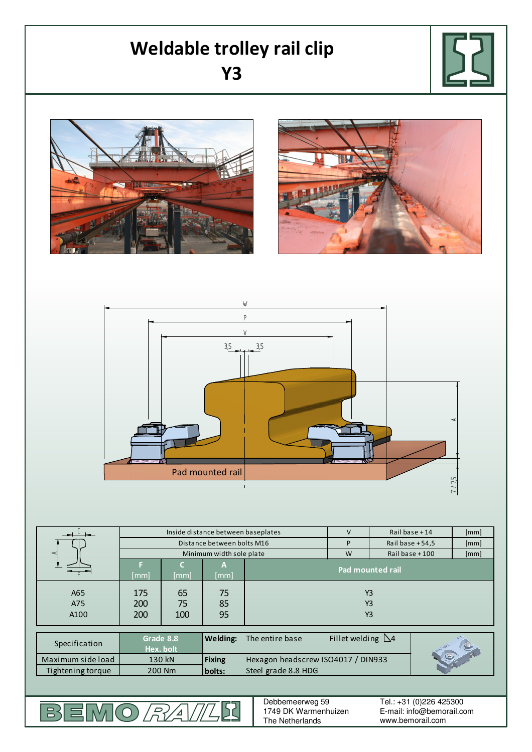## **Weldable trolley rail clip Y3**









|                   | Inside distance between baseplates |      |                 |                                    | $\vee$                    | Rail base $+14$   | [mm] |
|-------------------|------------------------------------|------|-----------------|------------------------------------|---------------------------|-------------------|------|
|                   | Distance between bolts M16         |      |                 |                                    | P                         | Rail base $+54.5$ | [mm] |
| ⋖                 | Minimum width sole plate           |      |                 |                                    | W                         | Rail base +100    | [mm] |
|                   | [mm]                               | [mm] | А<br>[mm]       | <b>Pad mounted rail</b>            |                           |                   |      |
| A65               | 175                                | 65   | 75              | <b>Y3</b>                          |                           |                   |      |
| A75               | 200                                | 75   | 85              | Y <sub>3</sub>                     |                           |                   |      |
| A100              | 200                                | 100  | 95              | Y3                                 |                           |                   |      |
|                   | Grade 8.8                          |      | <b>Welding:</b> | The entire base                    | Fillet welding $\Delta$ 4 |                   |      |
| Specification     | Hex. bolt                          |      |                 |                                    |                           |                   |      |
| Maximum side load | 130 kN                             |      | <b>Fixing</b>   | Hexagon headscrew ISO4017 / DIN933 |                           |                   |      |
| Tightening torque | 200 Nm                             |      | bolts:          | Steel grade 8.8 HDG                |                           |                   |      |

EMO*RA* 52

 $\overline{\mathbb{B}}$ 

Debbemeerweg 59 1749 DK Warmenhuizen The Netherlands

E-mail: info@bemorail.com www.bemorail.com Tel.: +31 (0)226 425300